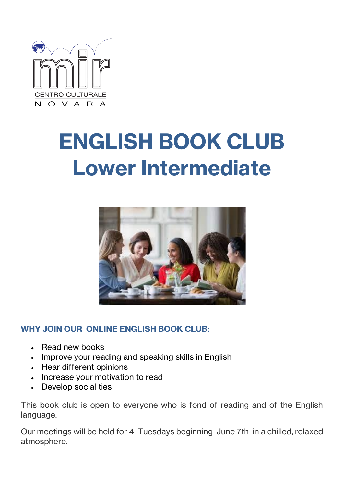

## **ENGLISH BOOK CLUB Lower Intermediate**



## **WHY JOIN OUR ONLINE ENGLISH BOOK CLUB:**

- Read new books
- Improve your reading and speaking skills in English
- Hear different opinions
- Increase your motivation to read
- Develop social ties

This book club is open to everyone who is fond of reading and of the English language.

Our meetings will be held for 4 Tuesdays beginning June 7th in a chilled, relaxed atmosphere.